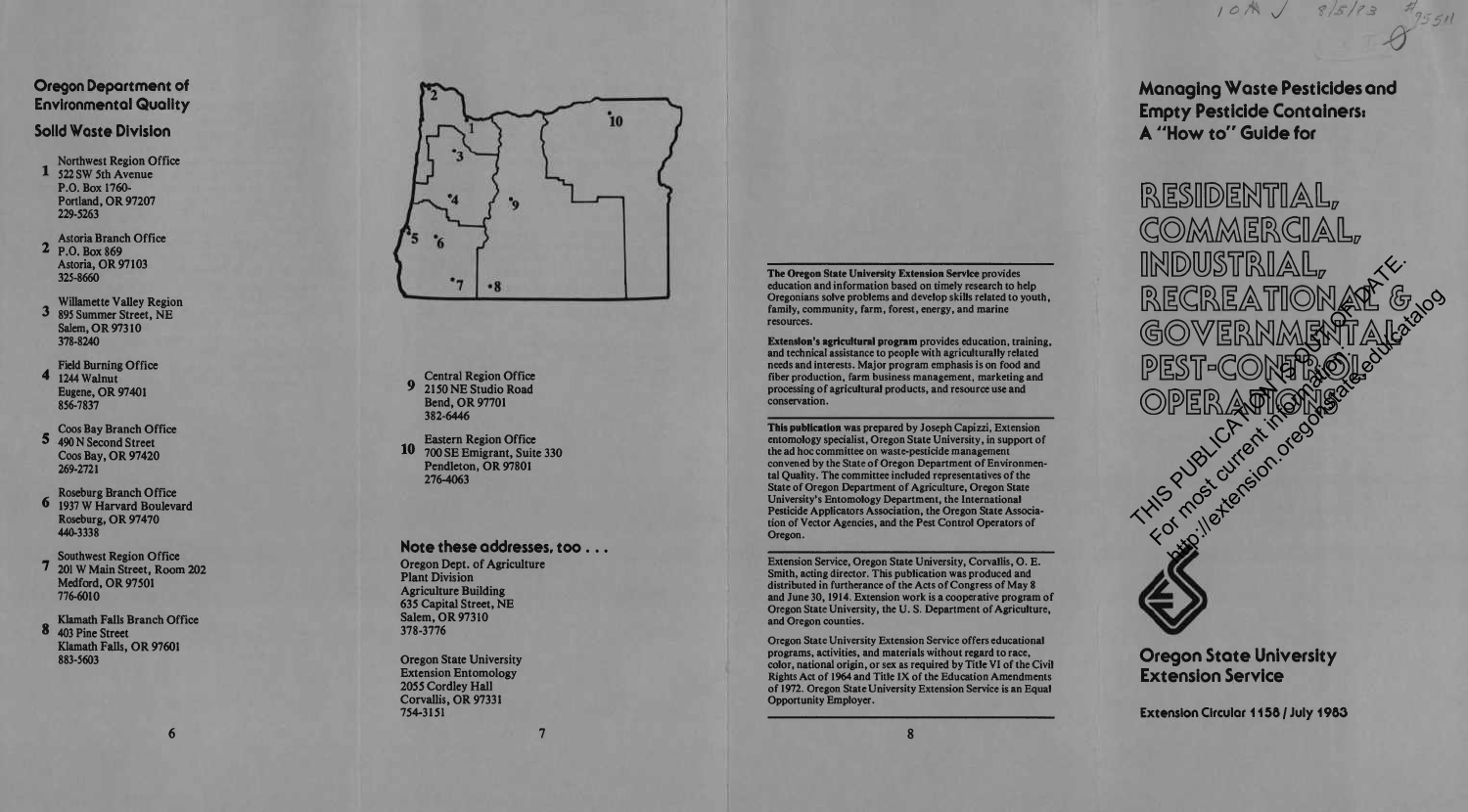# **Managing Waste Pesticides and Empty Pesticide Containers! A "How to" Guide for**

COMMERCIAL,<br>industrial,

RESIDENTIAL,

RECREATION AT GOOD

**ECREATIONAR** & 30

PEST-CONERIOL

*to/k J \*J55H*

*\$*

Oregon State University Extension Service

**Extension Circular 1156 / July 1983**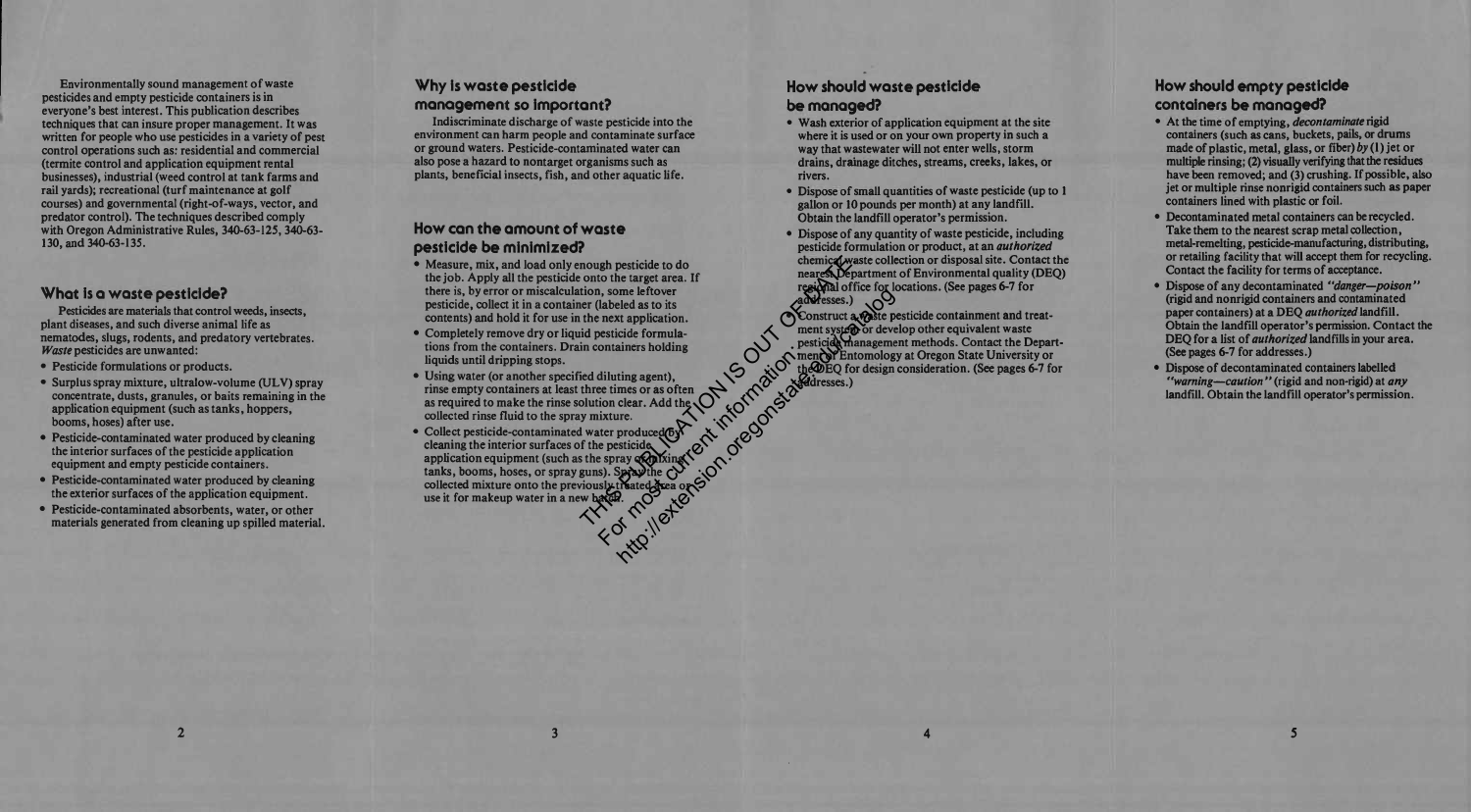**Environmentally sound management of waste pesticides and empty pesticide containers is in everyone's best interest. This publication describes techniques that can insure proper management. It was written for people who use pesticides in a variety of pest control operations such as: residential and commercial (termite control and application equipment rental businesses), industrial (weed control at tank farms and rail yards); recreational (turf maintenance at golf courses) and governmental (right-of-ways, vector, and predator control). The techniques described comply with Oregon Administrative Rules, 340-63-125,340-63- 130, and 340-63-135.**

#### **What is a waste pesticide?**

**Pesticides are materials that control weeds, insects, plant diseases, and such diverse animal life as nematodes, slugs, rodents, and predatory vertebrates.** *Waste* **pesticides are unwanted:**

- **• Pesticide formulations or products.**
- **• Surplus spray mixture, ultralow-volume (ULV) spray concentrate, dusts, granules, or baits remaining in the application equipment (such as tanks, hoppers, booms, hoses) after use.**
- **• Pesticide-contaminated water produced by cleaning the interior** surfaces of the pesticide application **equipment and empty pesticide containers.**
- **• Pesticide-contaminated water produced by cleaning the exterior surfaces of the application equipment.**
- **• Pesticide-contaminated absorbents, water, or other materials generated from cleaning up spilled material.**

 $\overline{2}$ 

### **Why is waste pesticide management so important?**

**Indiscriminate discharge of waste pesticide into the environment can harm people and contaminate surface or ground waters. Pesticide-contaminated water can also pose a hazard to nontarget organisms such as plants, beneficial insects, fish, and other aquatic life.**

### **How con the amount of waste pesticide be minimized?**

- **• Measure, mix, and load only enough pesticide to do the job. Apply all the pesticide onto the target area. If there is, by error or miscalculation, some leftover pesticide, collect it in a container (labeled as to its contents) and hold it for use in the next application.**
- **• Completely remove dry or liquid pesticide formulations from the containers. Drain containers holding liquids until dripping stops.**
- **• Using water (or another specified diluting agent), rinse empty containers at least three times or as often as required to make the rinse solution clear. Add the collected rinse fluid to the spray mixture.**
- **• Collect pesticide-contaminated water produced by cleaning the interior surfaces of the pesticide application equipment (such as the spray or mixing tanks, booms, hoses, or spray guns). Spray the collected mixture onto the previously treated area or use it for makeup water in a new batch.** mough pesticide to do<br>
onto the target area. If<br>
tion, some leftover<br>
ter (labeled as to its<br>
the next application.<br>
id pesticide formula-<br>
in containers holding<br>
id diluting agent),<br>
three times or as often<br>
where the set Suitaines information of the distribution of the distribution of the energy of the energy of the current internet in the energy of the space of the space of the space of the space of the space of the space of the space of

 $\overline{\mathbf{3}}$ 

#### **How should waste pesticide be managed?**

- **• Wash exterior of application equipment at the site where it is used or on your own property in such a way that wastewater will not enter wells, storm drains, drainage ditches, streams, creeks, lakes, or rivers.**
- **• Dispose ofsmall quantities of waste pesticide (up to <sup>1</sup> gallon or 10 pounds per month) at any landfill. Obtain the landfill operator's permission.**
- **• Dispose of any quantity of waste pesticide, including pesticide formulation or product, at an** *authorized* **chemical waste collection or disposal site. Contact the nearest Department of Environmental quality (DEQ) regional office for locations. (See pages 6-7 for addresses.)**

 $\bullet$  **Construct a waste pesticide containment and treatment system or develop other equivalent waste pesticide management methods. Contact the Department of Entomology at Oregon State University or the DEQ for design consideration. (See pages 6-7 for addresses.)** of the Contract of the Contract of the Contract of the Construct and the contract of the Construct and the contract of the Construct and the contract of the Construct and the contract of the Construct and the contract of t

## **How should empty pesticide containers be managed?**

- **• At the time of emptying,** *decontaminate* **rigid containers (such as cans, buckets, pails, or drums made of plastic, metal, glass, or fiber)** *by* **(1) jet or multiple rinsing; (2) visually verifying that the residues have been removed; and (3) crushing. If possible, also jet or multiple rinse nonrigid containers such as paper containers lined with plastic or foil.**
- **• Decontaminated metal containers can be recycled. Take them to the nearest scrap metal collection, metal-remelting, pesticide-manufacturing, distributing, or retailing facility that will accept them for recycling. Contact the facility for terms of acceptance.**
- **• Dispose of any decontaminated** *"danger—poison"* **(rigid and nonrigid containers and contaminated paper containers) at a DEQ** *authorized* **landfill. Obtain the landfill operator's permission. Contact the DEQ for a list of** *authorized* **landfills in your area. (See pages 6-7 for addresses.)**
- **• Dispose of decontaminated containers labelled** *"warning***—***caution "* **(rigid and non-rigid) at** *any* **landfill. Obtain the landfill operator's permission.**